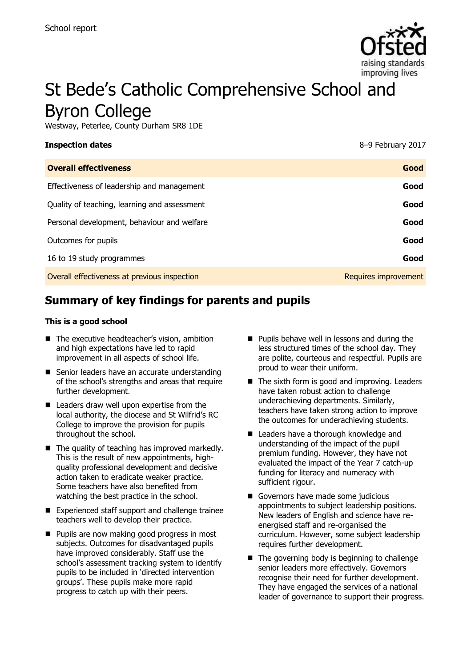

# St Bede's Catholic Comprehensive School and Byron College

Westway, Peterlee, County Durham SR8 1DE

#### **Inspection dates** 8–9 February 2017

| <b>Overall effectiveness</b>                 | Good                 |
|----------------------------------------------|----------------------|
| Effectiveness of leadership and management   | Good                 |
| Quality of teaching, learning and assessment | Good                 |
| Personal development, behaviour and welfare  | Good                 |
| Outcomes for pupils                          | Good                 |
| 16 to 19 study programmes                    | Good                 |
| Overall effectiveness at previous inspection | Requires improvement |

# **Summary of key findings for parents and pupils**

#### **This is a good school**

- The executive headteacher's vision, ambition and high expectations have led to rapid improvement in all aspects of school life.
- Senior leaders have an accurate understanding of the school's strengths and areas that require further development.
- Leaders draw well upon expertise from the local authority, the diocese and St Wilfrid's RC College to improve the provision for pupils throughout the school.
- $\blacksquare$  The quality of teaching has improved markedly. This is the result of new appointments, highquality professional development and decisive action taken to eradicate weaker practice. Some teachers have also benefited from watching the best practice in the school.
- Experienced staff support and challenge trainee teachers well to develop their practice.
- **Pupils are now making good progress in most** subjects. Outcomes for disadvantaged pupils have improved considerably. Staff use the school's assessment tracking system to identify pupils to be included in 'directed intervention groups'. These pupils make more rapid progress to catch up with their peers.
- **Pupils behave well in lessons and during the** less structured times of the school day. They are polite, courteous and respectful. Pupils are proud to wear their uniform.
- $\blacksquare$  The sixth form is good and improving. Leaders have taken robust action to challenge underachieving departments. Similarly, teachers have taken strong action to improve the outcomes for underachieving students.
- Leaders have a thorough knowledge and understanding of the impact of the pupil premium funding. However, they have not evaluated the impact of the Year 7 catch-up funding for literacy and numeracy with sufficient rigour.
- Governors have made some judicious appointments to subject leadership positions. New leaders of English and science have reenergised staff and re-organised the curriculum. However, some subject leadership requires further development.
- $\blacksquare$  The governing body is beginning to challenge senior leaders more effectively. Governors recognise their need for further development. They have engaged the services of a national leader of governance to support their progress.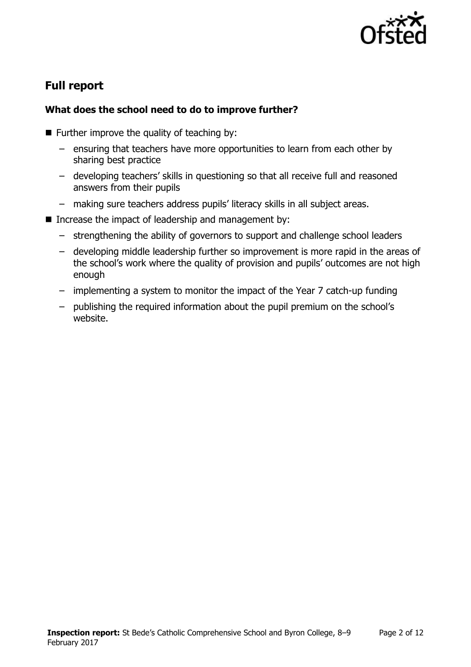

# **Full report**

### **What does the school need to do to improve further?**

- $\blacksquare$  Further improve the quality of teaching by:
	- ensuring that teachers have more opportunities to learn from each other by sharing best practice
	- developing teachers' skills in questioning so that all receive full and reasoned answers from their pupils
	- making sure teachers address pupils' literacy skills in all subject areas.
- Increase the impact of leadership and management by:
	- strengthening the ability of governors to support and challenge school leaders
	- developing middle leadership further so improvement is more rapid in the areas of the school's work where the quality of provision and pupils' outcomes are not high enough
	- implementing a system to monitor the impact of the Year 7 catch-up funding
	- publishing the required information about the pupil premium on the school's website.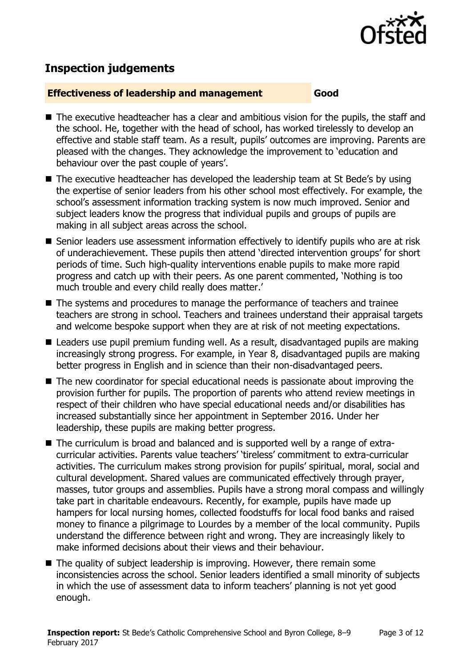

## **Inspection judgements**

#### **Effectiveness of leadership and management Good**

- The executive headteacher has a clear and ambitious vision for the pupils, the staff and the school. He, together with the head of school, has worked tirelessly to develop an effective and stable staff team. As a result, pupils' outcomes are improving. Parents are pleased with the changes. They acknowledge the improvement to 'education and behaviour over the past couple of years'.
- The executive headteacher has developed the leadership team at St Bede's by using the expertise of senior leaders from his other school most effectively. For example, the school's assessment information tracking system is now much improved. Senior and subject leaders know the progress that individual pupils and groups of pupils are making in all subject areas across the school.
- Senior leaders use assessment information effectively to identify pupils who are at risk of underachievement. These pupils then attend 'directed intervention groups' for short periods of time. Such high-quality interventions enable pupils to make more rapid progress and catch up with their peers. As one parent commented, 'Nothing is too much trouble and every child really does matter.'
- The systems and procedures to manage the performance of teachers and trainee teachers are strong in school. Teachers and trainees understand their appraisal targets and welcome bespoke support when they are at risk of not meeting expectations.
- Leaders use pupil premium funding well. As a result, disadvantaged pupils are making increasingly strong progress. For example, in Year 8, disadvantaged pupils are making better progress in English and in science than their non-disadvantaged peers.
- The new coordinator for special educational needs is passionate about improving the provision further for pupils. The proportion of parents who attend review meetings in respect of their children who have special educational needs and/or disabilities has increased substantially since her appointment in September 2016. Under her leadership, these pupils are making better progress.
- The curriculum is broad and balanced and is supported well by a range of extracurricular activities. Parents value teachers' 'tireless' commitment to extra-curricular activities. The curriculum makes strong provision for pupils' spiritual, moral, social and cultural development. Shared values are communicated effectively through prayer, masses, tutor groups and assemblies. Pupils have a strong moral compass and willingly take part in charitable endeavours. Recently, for example, pupils have made up hampers for local nursing homes, collected foodstuffs for local food banks and raised money to finance a pilgrimage to Lourdes by a member of the local community. Pupils understand the difference between right and wrong. They are increasingly likely to make informed decisions about their views and their behaviour.
- The quality of subject leadership is improving. However, there remain some inconsistencies across the school. Senior leaders identified a small minority of subjects in which the use of assessment data to inform teachers' planning is not yet good enough.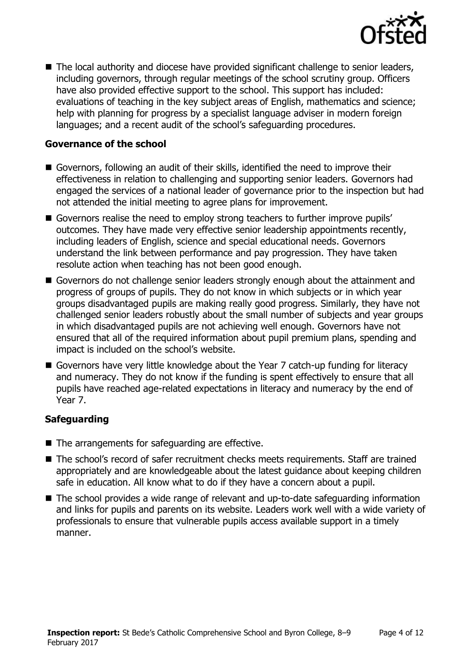

■ The local authority and diocese have provided significant challenge to senior leaders, including governors, through regular meetings of the school scrutiny group. Officers have also provided effective support to the school. This support has included: evaluations of teaching in the key subject areas of English, mathematics and science; help with planning for progress by a specialist language adviser in modern foreign languages; and a recent audit of the school's safeguarding procedures.

#### **Governance of the school**

- Governors, following an audit of their skills, identified the need to improve their effectiveness in relation to challenging and supporting senior leaders. Governors had engaged the services of a national leader of governance prior to the inspection but had not attended the initial meeting to agree plans for improvement.
- Governors realise the need to employ strong teachers to further improve pupils' outcomes. They have made very effective senior leadership appointments recently, including leaders of English, science and special educational needs. Governors understand the link between performance and pay progression. They have taken resolute action when teaching has not been good enough.
- Governors do not challenge senior leaders strongly enough about the attainment and progress of groups of pupils. They do not know in which subjects or in which year groups disadvantaged pupils are making really good progress. Similarly, they have not challenged senior leaders robustly about the small number of subjects and year groups in which disadvantaged pupils are not achieving well enough. Governors have not ensured that all of the required information about pupil premium plans, spending and impact is included on the school's website.
- Governors have very little knowledge about the Year 7 catch-up funding for literacy and numeracy. They do not know if the funding is spent effectively to ensure that all pupils have reached age-related expectations in literacy and numeracy by the end of Year 7.

### **Safeguarding**

- The arrangements for safeguarding are effective.
- The school's record of safer recruitment checks meets requirements. Staff are trained appropriately and are knowledgeable about the latest guidance about keeping children safe in education. All know what to do if they have a concern about a pupil.
- The school provides a wide range of relevant and up-to-date safeguarding information and links for pupils and parents on its website. Leaders work well with a wide variety of professionals to ensure that vulnerable pupils access available support in a timely manner.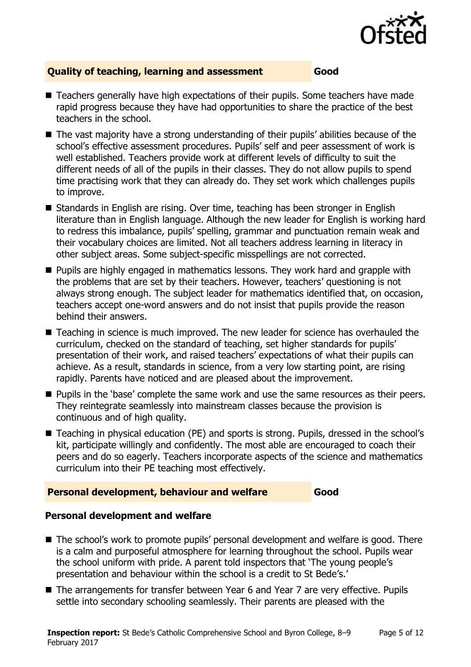

### **Quality of teaching, learning and assessment Good**

- Teachers generally have high expectations of their pupils. Some teachers have made rapid progress because they have had opportunities to share the practice of the best teachers in the school.
- The vast majority have a strong understanding of their pupils' abilities because of the school's effective assessment procedures. Pupils' self and peer assessment of work is well established. Teachers provide work at different levels of difficulty to suit the different needs of all of the pupils in their classes. They do not allow pupils to spend time practising work that they can already do. They set work which challenges pupils to improve.
- Standards in English are rising. Over time, teaching has been stronger in English literature than in English language. Although the new leader for English is working hard to redress this imbalance, pupils' spelling, grammar and punctuation remain weak and their vocabulary choices are limited. Not all teachers address learning in literacy in other subject areas. Some subject-specific misspellings are not corrected.
- **Pupils are highly engaged in mathematics lessons. They work hard and grapple with** the problems that are set by their teachers. However, teachers' questioning is not always strong enough. The subject leader for mathematics identified that, on occasion, teachers accept one-word answers and do not insist that pupils provide the reason behind their answers.
- Teaching in science is much improved. The new leader for science has overhauled the curriculum, checked on the standard of teaching, set higher standards for pupils' presentation of their work, and raised teachers' expectations of what their pupils can achieve. As a result, standards in science, from a very low starting point, are rising rapidly. Parents have noticed and are pleased about the improvement.
- **Pupils in the 'base' complete the same work and use the same resources as their peers.** They reintegrate seamlessly into mainstream classes because the provision is continuous and of high quality.
- Teaching in physical education (PE) and sports is strong. Pupils, dressed in the school's kit, participate willingly and confidently. The most able are encouraged to coach their peers and do so eagerly. Teachers incorporate aspects of the science and mathematics curriculum into their PE teaching most effectively.

#### **Personal development, behaviour and welfare Good**

### **Personal development and welfare**

- The school's work to promote pupils' personal development and welfare is good. There is a calm and purposeful atmosphere for learning throughout the school. Pupils wear the school uniform with pride. A parent told inspectors that 'The young people's presentation and behaviour within the school is a credit to St Bede's.'
- The arrangements for transfer between Year 6 and Year 7 are very effective. Pupils settle into secondary schooling seamlessly. Their parents are pleased with the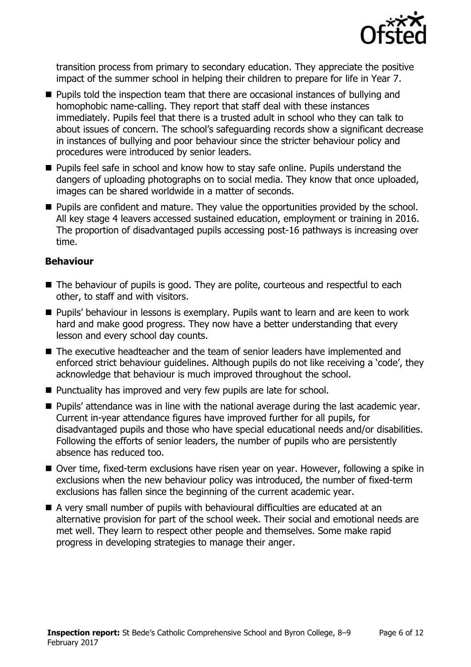

transition process from primary to secondary education. They appreciate the positive impact of the summer school in helping their children to prepare for life in Year 7.

- **Pupils told the inspection team that there are occasional instances of bullying and** homophobic name-calling. They report that staff deal with these instances immediately. Pupils feel that there is a trusted adult in school who they can talk to about issues of concern. The school's safeguarding records show a significant decrease in instances of bullying and poor behaviour since the stricter behaviour policy and procedures were introduced by senior leaders.
- **Pupils feel safe in school and know how to stay safe online. Pupils understand the** dangers of uploading photographs on to social media. They know that once uploaded, images can be shared worldwide in a matter of seconds.
- **Pupils are confident and mature. They value the opportunities provided by the school.** All key stage 4 leavers accessed sustained education, employment or training in 2016. The proportion of disadvantaged pupils accessing post-16 pathways is increasing over time.

#### **Behaviour**

- The behaviour of pupils is good. They are polite, courteous and respectful to each other, to staff and with visitors.
- **Pupils'** behaviour in lessons is exemplary. Pupils want to learn and are keen to work hard and make good progress. They now have a better understanding that every lesson and every school day counts.
- The executive headteacher and the team of senior leaders have implemented and enforced strict behaviour guidelines. Although pupils do not like receiving a 'code', they acknowledge that behaviour is much improved throughout the school.
- Punctuality has improved and very few pupils are late for school.
- **Pupils' attendance was in line with the national average during the last academic year.** Current in-year attendance figures have improved further for all pupils, for disadvantaged pupils and those who have special educational needs and/or disabilities. Following the efforts of senior leaders, the number of pupils who are persistently absence has reduced too.
- Over time, fixed-term exclusions have risen year on year. However, following a spike in exclusions when the new behaviour policy was introduced, the number of fixed-term exclusions has fallen since the beginning of the current academic year.
- A very small number of pupils with behavioural difficulties are educated at an alternative provision for part of the school week. Their social and emotional needs are met well. They learn to respect other people and themselves. Some make rapid progress in developing strategies to manage their anger.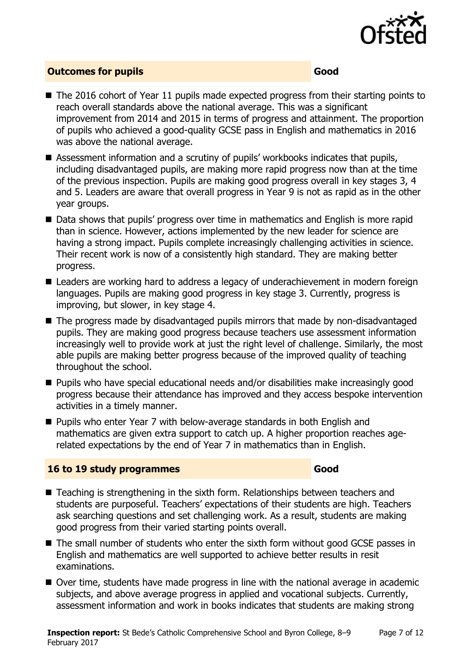

#### **Outcomes for pupils Good**

- The 2016 cohort of Year 11 pupils made expected progress from their starting points to reach overall standards above the national average. This was a significant improvement from 2014 and 2015 in terms of progress and attainment. The proportion of pupils who achieved a good-quality GCSE pass in English and mathematics in 2016 was above the national average.
- Assessment information and a scrutiny of pupils' workbooks indicates that pupils, including disadvantaged pupils, are making more rapid progress now than at the time of the previous inspection. Pupils are making good progress overall in key stages 3, 4 and 5. Leaders are aware that overall progress in Year 9 is not as rapid as in the other year groups.
- Data shows that pupils' progress over time in mathematics and English is more rapid than in science. However, actions implemented by the new leader for science are having a strong impact. Pupils complete increasingly challenging activities in science. Their recent work is now of a consistently high standard. They are making better progress.
- Leaders are working hard to address a legacy of underachievement in modern foreign languages. Pupils are making good progress in key stage 3. Currently, progress is improving, but slower, in key stage 4.
- The progress made by disadvantaged pupils mirrors that made by non-disadvantaged pupils. They are making good progress because teachers use assessment information increasingly well to provide work at just the right level of challenge. Similarly, the most able pupils are making better progress because of the improved quality of teaching throughout the school.
- Pupils who have special educational needs and/or disabilities make increasingly good progress because their attendance has improved and they access bespoke intervention activities in a timely manner.
- Pupils who enter Year 7 with below-average standards in both English and mathematics are given extra support to catch up. A higher proportion reaches agerelated expectations by the end of Year 7 in mathematics than in English.

### **16 to 19 study programmes Good**

- Teaching is strengthening in the sixth form. Relationships between teachers and students are purposeful. Teachers' expectations of their students are high. Teachers ask searching questions and set challenging work. As a result, students are making good progress from their varied starting points overall.
- The small number of students who enter the sixth form without good GCSE passes in English and mathematics are well supported to achieve better results in resit examinations.
- Over time, students have made progress in line with the national average in academic subjects, and above average progress in applied and vocational subjects. Currently, assessment information and work in books indicates that students are making strong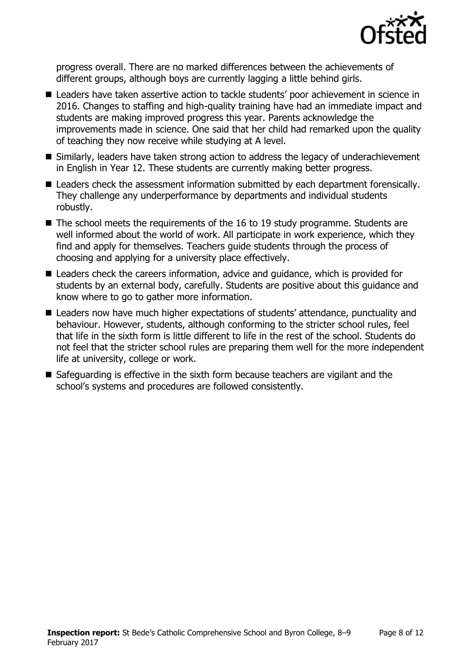

progress overall. There are no marked differences between the achievements of different groups, although boys are currently lagging a little behind girls.

- Leaders have taken assertive action to tackle students' poor achievement in science in 2016. Changes to staffing and high-quality training have had an immediate impact and students are making improved progress this year. Parents acknowledge the improvements made in science. One said that her child had remarked upon the quality of teaching they now receive while studying at A level.
- Similarly, leaders have taken strong action to address the legacy of underachievement in English in Year 12. These students are currently making better progress.
- Leaders check the assessment information submitted by each department forensically. They challenge any underperformance by departments and individual students robustly.
- $\blacksquare$  The school meets the requirements of the 16 to 19 study programme. Students are well informed about the world of work. All participate in work experience, which they find and apply for themselves. Teachers guide students through the process of choosing and applying for a university place effectively.
- Leaders check the careers information, advice and guidance, which is provided for students by an external body, carefully. Students are positive about this guidance and know where to go to gather more information.
- Leaders now have much higher expectations of students' attendance, punctuality and behaviour. However, students, although conforming to the stricter school rules, feel that life in the sixth form is little different to life in the rest of the school. Students do not feel that the stricter school rules are preparing them well for the more independent life at university, college or work.
- Safeguarding is effective in the sixth form because teachers are vigilant and the school's systems and procedures are followed consistently.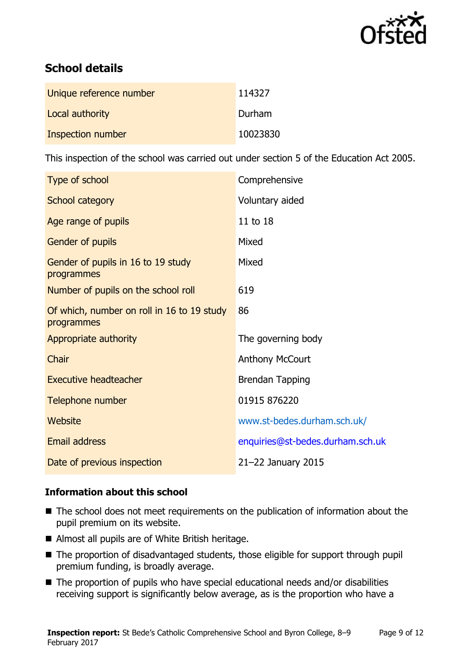

# **School details**

| Unique reference number | 114327   |
|-------------------------|----------|
| Local authority         | Durham   |
| Inspection number       | 10023830 |

This inspection of the school was carried out under section 5 of the Education Act 2005.

| Type of school                                           | Comprehensive                    |
|----------------------------------------------------------|----------------------------------|
| School category                                          | Voluntary aided                  |
| Age range of pupils                                      | 11 to 18                         |
| <b>Gender of pupils</b>                                  | Mixed                            |
| Gender of pupils in 16 to 19 study<br>programmes         | Mixed                            |
| Number of pupils on the school roll                      | 619                              |
| Of which, number on roll in 16 to 19 study<br>programmes | 86                               |
| Appropriate authority                                    | The governing body               |
| Chair                                                    | <b>Anthony McCourt</b>           |
| <b>Executive headteacher</b>                             | <b>Brendan Tapping</b>           |
| Telephone number                                         | 01915 876220                     |
| Website                                                  | www.st-bedes.durham.sch.uk/      |
| <b>Email address</b>                                     | enquiries@st-bedes.durham.sch.uk |
| Date of previous inspection                              | 21-22 January 2015               |

### **Information about this school**

- The school does not meet requirements on the publication of information about the pupil premium on its website.
- Almost all pupils are of White British heritage.
- The proportion of disadvantaged students, those eligible for support through pupil premium funding, is broadly average.
- The proportion of pupils who have special educational needs and/or disabilities receiving support is significantly below average, as is the proportion who have a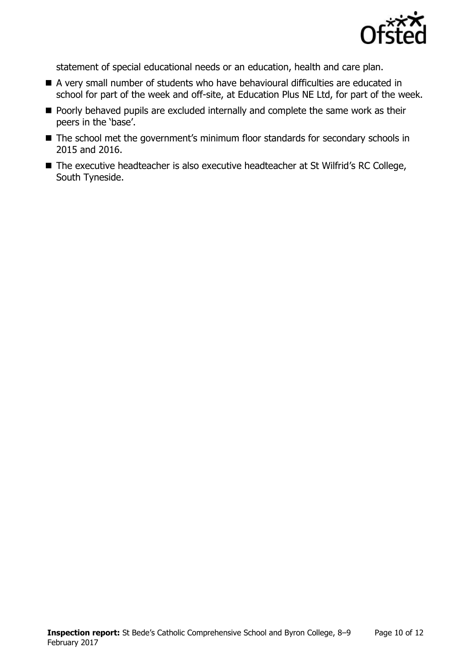

statement of special educational needs or an education, health and care plan.

- A very small number of students who have behavioural difficulties are educated in school for part of the week and off-site, at Education Plus NE Ltd, for part of the week.
- Poorly behaved pupils are excluded internally and complete the same work as their peers in the 'base'.
- The school met the government's minimum floor standards for secondary schools in 2015 and 2016.
- The executive headteacher is also executive headteacher at St Wilfrid's RC College, South Tyneside.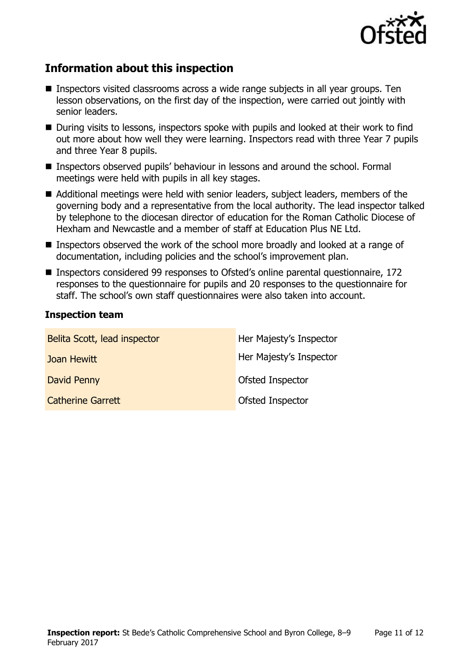

# **Information about this inspection**

- Inspectors visited classrooms across a wide range subjects in all year groups. Ten lesson observations, on the first day of the inspection, were carried out jointly with senior leaders.
- During visits to lessons, inspectors spoke with pupils and looked at their work to find out more about how well they were learning. Inspectors read with three Year 7 pupils and three Year 8 pupils.
- Inspectors observed pupils' behaviour in lessons and around the school. Formal meetings were held with pupils in all key stages.
- Additional meetings were held with senior leaders, subject leaders, members of the governing body and a representative from the local authority. The lead inspector talked by telephone to the diocesan director of education for the Roman Catholic Diocese of Hexham and Newcastle and a member of staff at Education Plus NE Ltd.
- Inspectors observed the work of the school more broadly and looked at a range of documentation, including policies and the school's improvement plan.
- Inspectors considered 99 responses to Ofsted's online parental questionnaire, 172 responses to the questionnaire for pupils and 20 responses to the questionnaire for staff. The school's own staff questionnaires were also taken into account.

#### **Inspection team**

| Belita Scott, lead inspector | Her Majesty's Inspector |
|------------------------------|-------------------------|
| Joan Hewitt                  | Her Majesty's Inspector |
| David Penny                  | Ofsted Inspector        |
| <b>Catherine Garrett</b>     | Ofsted Inspector        |